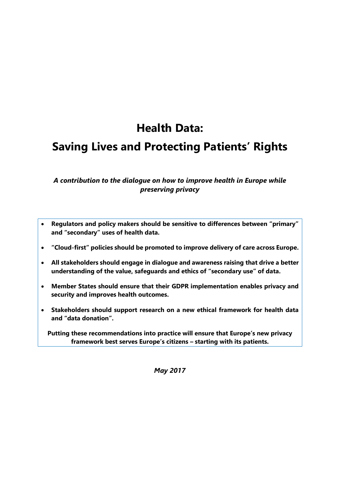# **Health Data:**

## **Saving Lives and Protecting Patients' Rights**

## *A contribution to the dialogue on how to improve health in Europe while preserving privacy*

- **Regulators and policy makers should be sensitive to differences between "primary" and "secondary" uses of health data.**
- **"Cloud-first" policies should be promoted to improve delivery of care across Europe.**
- **All stakeholders should engage in dialogue and awareness raising that drive a better understanding of the value, safeguards and ethics of "secondary use" of data.**
- **Member States should ensure that their GDPR implementation enables privacy and security and improves health outcomes.**
- **Stakeholders should support research on a new ethical framework for health data and "data donation".**

**Putting these recommendations into practice will ensure that Europe's new privacy framework best serves Europe's citizens – starting with its patients.**

*May 2017*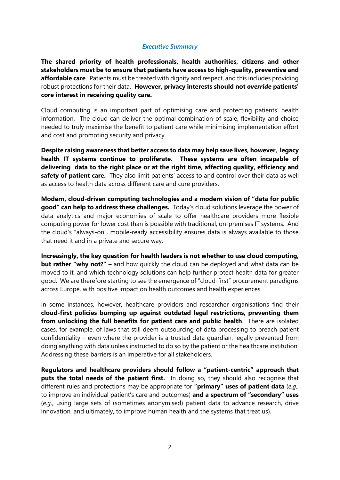#### *Executive Summary*

**The shared priority of health professionals, health authorities, citizens and other stakeholders must be to ensure that patients have access to high-quality, preventive and affordable care**. Patients must be treated with dignity and respect, and this includes providing robust protections for their data. **However, privacy interests should not** *override* **patients' core interest in receiving quality care.**

Cloud computing is an important part of optimising care and protecting patients' health information. The cloud can deliver the optimal combination of scale, flexibility and choice needed to truly maximise the benefit to patient care while minimising implementation effort and cost and promoting security and privacy.

**Despite raising awareness that better access to data may help save lives, however, legacy health IT systems continue to proliferate. These systems are often incapable of delivering data to the right place or at the right time, affecting quality, efficiency and safety of patient care.** They also limit patients' access to and control over their data as well as access to health data across different care and cure providers.

**Modern, cloud-driven computing technologies and a modern vision of "data for public good" can help to address these challenges.** Today's cloud solutions leverage the power of data analytics and major economies of scale to offer healthcare providers more flexible computing power for lower cost than is possible with traditional, on-premises IT systems. And the cloud's "always-on", mobile-ready accessibility ensures data is always available to those that need it and in a private and secure way.

**Increasingly, the key question for health leaders is not whether to use cloud computing, but rather "why not?"** – and how quickly the cloud can be deployed and what data can be moved to it, and which technology solutions can help further protect health data for greater good. We are therefore starting to see the emergence of "cloud-first" procurement paradigms across Europe, with positive impact on health outcomes and health experiences.

In some instances, however, healthcare providers and researcher organisations find their **cloud-first policies bumping up against outdated legal restrictions, preventing them from unlocking the full benefits for patient care and public health**. There are isolated cases, for example, of laws that still deem outsourcing of data processing to breach patient confidentiality – even where the provider is a trusted data guardian, legally prevented from doing anything with data unless instructed to do so by the patient or the healthcare institution. Addressing these barriers is an imperative for all stakeholders.

**Regulators and healthcare providers should follow a "patient-centric" approach that puts the total needs of the patient first.** In doing so, they should also recognise that different rules and protections may be appropriate for **"primary" uses of patient data** (*e.g.*, to improve an individual patient's care and outcomes) **and a spectrum of "secondary" uses** (*e.g.*, using large sets of (sometimes anonymised) patient data to advance research, drive innovation, and ultimately, to improve human health and the systems that treat us).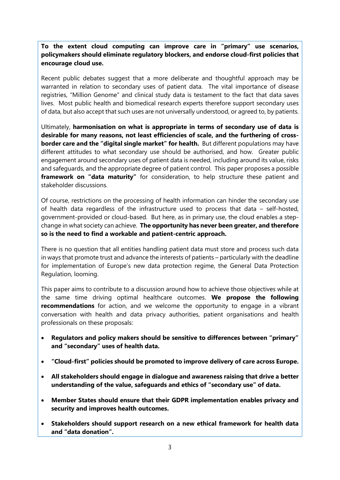**To the extent cloud computing can improve care in "primary" use scenarios, policymakers should eliminate regulatory blockers, and endorse cloud-first policies that encourage cloud use.**

Recent public debates suggest that a more deliberate and thoughtful approach may be warranted in relation to secondary uses of patient data. The vital importance of disease registries, "Million Genome" and clinical study data is testament to the fact that data saves lives. Most public health and biomedical research experts therefore support secondary uses of data, but also accept that such uses are not universally understood, or agreed to, by patients.

Ultimately, **harmonisation on what is appropriate in terms of secondary use of data is desirable for many reasons, not least efficiencies of scale, and the furthering of crossborder care and the "digital single market" for health.** But different populations may have different attitudes to what secondary use should be authorised, and how. Greater public engagement around secondary uses of patient data is needed, including around its value, risks and safeguards, and the appropriate degree of patient control. This paper proposes a possible **framework on "data maturity"** for consideration, to help structure these patient and stakeholder discussions.

Of course, restrictions on the processing of health information can hinder the secondary use of health data regardless of the infrastructure used to process that data – self-hosted, government-provided or cloud-based. But here, as in primary use, the cloud enables a stepchange in what society can achieve. **The opportunity has never been greater, and therefore so is the need to find a workable and patient-centric approach.**

There is no question that all entities handling patient data must store and process such data in ways that promote trust and advance the interests of patients – particularly with the deadline for implementation of Europe's new data protection regime, the General Data Protection Regulation, looming.

This paper aims to contribute to a discussion around how to achieve those objectives while at the same time driving optimal healthcare outcomes. **We propose the following recommendations** for action, and we welcome the opportunity to engage in a vibrant conversation with health and data privacy authorities, patient organisations and health professionals on these proposals:

- **Regulators and policy makers should be sensitive to differences between "primary" and "secondary" uses of health data.**
- **"Cloud-first" policies should be promoted to improve delivery of care across Europe.**
- **All stakeholders should engage in dialogue and awareness raising that drive a better understanding of the value, safeguards and ethics of "secondary use" of data.**
- **Member States should ensure that their GDPR implementation enables privacy and security and improves health outcomes.**
- **Stakeholders should support research on a new ethical framework for health data and "data donation".**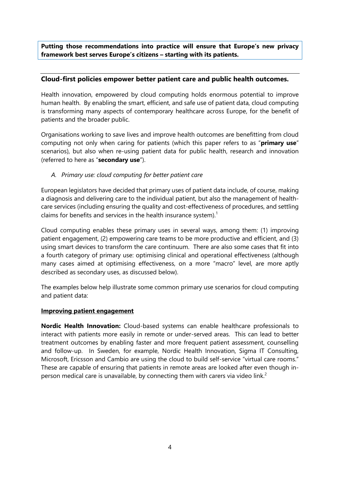**Putting those recommendations into practice will ensure that Europe's new privacy framework best serves Europe's citizens – starting with its patients.**

#### **Cloud-first policies empower better patient care and public health outcomes.**

Health innovation, empowered by cloud computing holds enormous potential to improve human health. By enabling the smart, efficient, and safe use of patient data, cloud computing is transforming many aspects of contemporary healthcare across Europe, for the benefit of patients and the broader public.

Organisations working to save lives and improve health outcomes are benefitting from cloud computing not only when caring for patients (which this paper refers to as "**primary use**" scenarios), but also when re-using patient data for public health, research and innovation (referred to here as "**secondary use**").

#### *A. Primary use: cloud computing for better patient care*

European legislators have decided that primary uses of patient data include, of course, making a diagnosis and delivering care to the individual patient, but also the management of healthcare services (including ensuring the quality and cost-effectiveness of procedures, and settling claims for benefits and services in the health insurance system). 1

Cloud computing enables these primary uses in several ways, among them: (1) improving patient engagement, (2) empowering care teams to be more productive and efficient, and (3) using smart devices to transform the care continuum. There are also some cases that fit into a fourth category of primary use: optimising clinical and operational effectiveness (although many cases aimed at optimising effectiveness, on a more "macro" level, are more aptly described as secondary uses, as discussed below).

The examples below help illustrate some common primary use scenarios for cloud computing and patient data:

#### **Improving patient engagement**

**Nordic Health Innovation:** Cloud-based systems can enable healthcare professionals to interact with patients more easily in remote or under-served areas. This can lead to better treatment outcomes by enabling faster and more frequent patient assessment, counselling and follow-up. In Sweden, for example, Nordic Health Innovation, Sigma IT Consulting, Microsoft, Ericsson and Cambio are using the cloud to build self-service "virtual care rooms." These are capable of ensuring that patients in remote areas are looked after even though inperson medical care is unavailable, by connecting them with carers via video link.<sup>2</sup>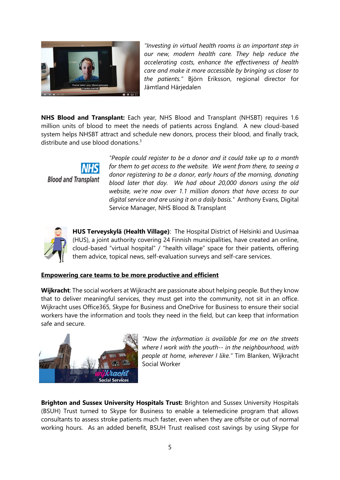

*"Investing in virtual health rooms is an important step in our new, modern health care. They help reduce the accelerating costs, enhance the effectiveness of health care and make it more accessible by bringing us closer to the patients."* Björn Eriksson, regional director for Jämtland Härjedalen

**NHS Blood and Transplant:** Each year, NHS Blood and Transplant (NHSBT) requires 1.6 million units of blood to meet the needs of patients across England. A new cloud-based system helps NHSBT attract and schedule new donors, process their blood, and finally track, distribute and use blood donations. $3$ 

> *"People could register to be a donor and it could take up to a month for them to get access to the website. We went from there, to seeing a donor registering to be a donor, early hours of the morning, donating blood later that day. We had about 20,000 donors using the old website, we're now over 1.1 million donors that have access to our digital service and are using it on a daily basis."* Anthony Evans, Digital Service Manager, NHS Blood & Transplant



**Blood and Transplant** 

**HUS Terveyskylä (Health Village)**: The Hospital District of Helsinki and Uusimaa (HUS), a joint authority covering 24 Finnish municipalities, have created an online, cloud-based "virtual hospital" / "health village" space for their patients, offering them advice, topical news, self-evaluation surveys and self-care services.

#### **Empowering care teams to be more productive and efficient**

**Wijkracht**: The social workers at Wijkracht are passionate about helping people. But they know that to deliver meaningful services, they must get into the community, not sit in an office. Wijkracht uses Office365, Skype for Business and OneDrive for Business to ensure their social workers have the information and tools they need in the field, but can keep that information safe and secure.



*"Now the information is available for me on the streets where I work with the youth-- in the neighbourhood, with people at home, wherever I like."* Tim Blanken, Wijkracht Social Worker

**Brighton and Sussex University Hospitals Trust:** Brighton and Sussex University Hospitals (BSUH) Trust turned to Skype for Business to enable a telemedicine program that allows consultants to assess stroke patients much faster, even when they are offsite or out of normal working hours. As an added benefit, BSUH Trust realised cost savings by using Skype for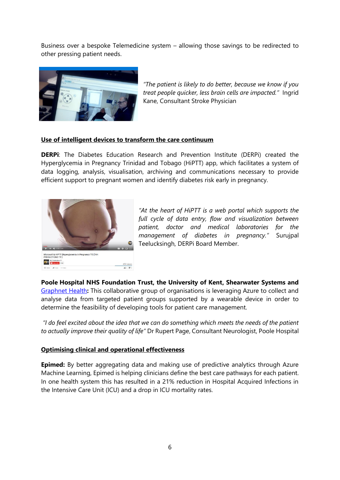Business over a bespoke Telemedicine system – allowing those savings to be redirected to other pressing patient needs.



*"The patient is likely to do better, because we know if you treat people quicker, less brain cells are impacted."* Ingrid Kane, Consultant Stroke Physician

#### **Use of intelligent devices to transform the care continuum**

**DERPi**: The Diabetes Education Research and Prevention Institute (DERPi) created the Hyperglycemia in Pregnancy Trinidad and Tobago (HiPTT) app, which facilitates a system of data logging, analysis, visualisation, archiving and communications necessary to provide efficient support to pregnant women and identify diabetes risk early in pregnancy.



*"At the heart of HiPTT is a web portal which supports the full cycle of data entry, flow and visualization between patient, doctor and medical laboratories for the management of diabetes in pregnancy."* Surujpal Teelucksingh, DERPi Board Member.

**Poole Hospital NHS Foundation Trust, the University of Kent, Shearwater Systems and**  [Graphnet Health](http://www.graphnethealth.com/files/7114/7377/7754/Poole_Hospital_NHS_Foundation_Trust_-_Case_Study.pdf)**:** This collaborative group of organisations is leveraging Azure to collect and analyse data from targeted patient groups supported by a wearable device in order to determine the feasibility of developing tools for patient care management.

*"I do feel excited about the idea that we can do something which meets the needs of the patient to actually improve their quality of life"* Dr Rupert Page, Consultant Neurologist, Poole Hospital

#### **Optimising clinical and operational effectiveness**

**Epimed:** By better aggregating data and making use of predictive analytics through Azure Machine Learning, Epimed is helping clinicians define the best care pathways for each patient. In one health system this has resulted in a 21% reduction in Hospital Acquired Infections in the Intensive Care Unit (ICU) and a drop in ICU mortality rates.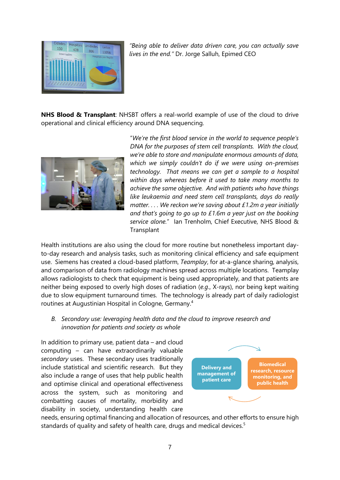

*"Being able to deliver data driven care, you can actually save lives in the end."* Dr. Jorge Salluh, Epimed CEO

**NHS Blood & Transplant**: NHSBT offers a real-world example of use of the cloud to drive operational and clinical efficiency around DNA sequencing.



"*We're the first blood service in the world to sequence people's DNA for the purposes of stem cell transplants. With the cloud, we're able to store and manipulate enormous amounts of data, which we simply couldn't do if we were using on-premises technology. That means we can get a sample to a hospital within days whereas before it used to take many months to achieve the same objective. And with patients who have things like leukaemia and need stem cell transplants, days do really matter. . . . We reckon we're saving about £1.2m a year initially and that's going to go up to £1.6m a year just on the booking service alone.*" Ian Trenholm, Chief Executive, NHS Blood & **Transplant** 

Health institutions are also using the cloud for more routine but nonetheless important dayto-day research and analysis tasks, such as monitoring clinical efficiency and safe equipment use. Siemens has created a cloud-based platform, *Teamplay*, for at-a-glance sharing, analysis, and comparison of data from radiology machines spread across multiple locations. Teamplay allows radiologists to check that equipment is being used appropriately, and that patients are neither being exposed to overly high doses of radiation (*e.g*., X-rays), nor being kept waiting due to slow equipment turnaround times. The technology is already part of daily radiologist routines at Augustinian Hospital in Cologne, Germany.<sup>4</sup>

*B. Secondary use: leveraging health data and the cloud to improve research and innovation for patients and society as whole*

In addition to primary use, patient data – and cloud computing – can have extraordinarily valuable *secondary* uses. These secondary uses traditionally include statistical and scientific research. But they also include a range of uses that help public health and optimise clinical and operational effectiveness across the system, such as monitoring and combatting causes of mortality, morbidity and disability in society, understanding health care



needs, ensuring optimal financing and allocation of resources, and other efforts to ensure high standards of quality and safety of health care, drugs and medical devices. $5$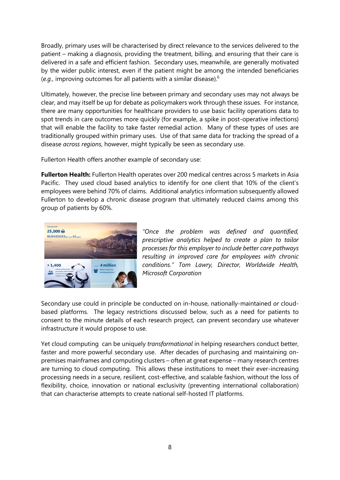Broadly, primary uses will be characterised by direct relevance to the services delivered to the patient – making a diagnosis, providing the treatment, billing, and ensuring that their care is delivered in a safe and efficient fashion. Secondary uses, meanwhile, are generally motivated by the wider public interest, even if the patient might be among the intended beneficiaries (*e.g.*, improving outcomes for all patients with a similar disease).<sup>6</sup>

Ultimately, however, the precise line between primary and secondary uses may not always be clear, and may itself be up for debate as policymakers work through these issues. For instance, there are many opportunities for healthcare providers to use basic facility operations data to spot trends in care outcomes more quickly (for example, a spike in post-operative infections) that will enable the facility to take faster remedial action. Many of these types of uses are traditionally grouped within primary uses. Use of that same data for tracking the spread of a disease *across regions*, however, might typically be seen as secondary use.

Fullerton Health offers another example of secondary use:

**Fullerton Health:** Fullerton Health operates over 200 medical centres across 5 markets in Asia Pacific. They used cloud based analytics to identify for one client that 10% of the client's employees were behind 70% of claims. Additional analytics information subsequently allowed Fullerton to develop a chronic disease program that ultimately reduced claims among this group of patients by 60%.



*"Once the problem was defined and quantified, prescriptive analytics helped to create a plan to tailor processes for this employer to include better care pathways resulting in improved care for employees with chronic conditions." Tom Lawry, Director, Worldwide Health, Microsoft Corporation*

Secondary use could in principle be conducted on in-house, nationally-maintained *or* cloudbased platforms. The legacy restrictions discussed below, such as a need for patients to consent to the minute details of each research project, can prevent secondary use whatever infrastructure it would propose to use.

Yet cloud computing can be uniquely *transformational* in helping researchers conduct better, faster and more powerful secondary use. After decades of purchasing and maintaining onpremises mainframes and computing clusters – often at great expense – many research centres are turning to cloud computing. This allows these institutions to meet their ever-increasing processing needs in a secure, resilient, cost-effective, and scalable fashion, without the loss of flexibility, choice, innovation or national exclusivity (preventing international collaboration) that can characterise attempts to create national self-hosted IT platforms.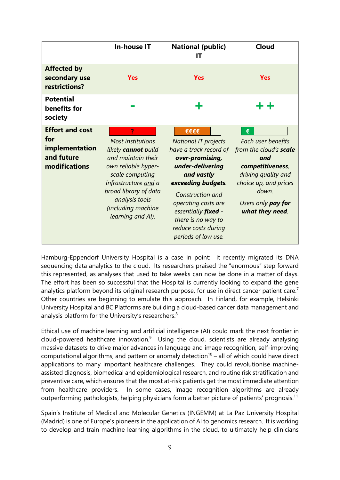|                                                                                | <b>In-house IT</b>                                                                                                                                                                                                            | <b>National (public)</b><br>ΙT                                                                                                                                                                                                                                                        | <b>Cloud</b>                                                                                                                                                                  |
|--------------------------------------------------------------------------------|-------------------------------------------------------------------------------------------------------------------------------------------------------------------------------------------------------------------------------|---------------------------------------------------------------------------------------------------------------------------------------------------------------------------------------------------------------------------------------------------------------------------------------|-------------------------------------------------------------------------------------------------------------------------------------------------------------------------------|
| <b>Affected by</b><br>secondary use<br>restrictions?                           | <b>Yes</b>                                                                                                                                                                                                                    | <b>Yes</b>                                                                                                                                                                                                                                                                            | <b>Yes</b>                                                                                                                                                                    |
| <b>Potential</b><br>benefits for<br>society                                    |                                                                                                                                                                                                                               | ╋                                                                                                                                                                                                                                                                                     | ++                                                                                                                                                                            |
| <b>Effort and cost</b><br>for<br>implementation<br>and future<br>modifications | <b>Most institutions</b><br>likely cannot build<br>and maintain their<br>own reliable hyper-<br>scale computing<br>infrastructure and a<br>broad library of data<br>analysis tools<br>(including machine<br>learning and AI). | €€€€<br><b>National IT projects</b><br>have a track record of<br>over-promising,<br>under-delivering<br>and vastly<br>exceeding budgets.<br>Construction and<br>operating costs are<br>essentially <i>fixed</i> -<br>there is no way to<br>reduce costs during<br>periods of low use. | €<br>Each user benefits<br>from the cloud's scale<br>and<br>competitiveness,<br>driving quality and<br>choice up, and prices<br>down<br>Users only pay for<br>what they need. |

Hamburg-Eppendorf University Hospital is a case in point: it recently migrated its DNA sequencing data analytics to the cloud. Its researchers praised the "enormous" step forward this represented, as analyses that used to take weeks can now be done in a matter of days. The effort has been so successful that the Hospital is currently looking to expand the gene analytics platform beyond its original research purpose, for use in direct cancer patient care.<sup>7</sup> Other countries are beginning to emulate this approach. In Finland, for example, Helsinki University Hospital and BC Platforms are building a cloud-based cancer data management and analysis platform for the University's researchers.<sup>8</sup>

Ethical use of machine learning and artificial intelligence (AI) could mark the next frontier in cloud-powered healthcare innovation. $9$  Using the cloud, scientists are already analysing massive datasets to drive major advances in language and image recognition, self-improving computational algorithms, and pattern or anomaly detection<sup>10</sup> – all of which could have direct applications to many important healthcare challenges. They could revolutionise machineassisted diagnosis, biomedical and epidemiological research, and routine risk stratification and preventive care, which ensures that the most at-risk patients get the most immediate attention from healthcare providers. In some cases, image recognition algorithms are already outperforming pathologists, helping physicians form a better picture of patients' prognosis.<sup>11</sup>

Spain's Institute of Medical and Molecular Genetics (INGEMM) at La Paz University Hospital (Madrid) is one of Europe's pioneers in the application of AI to genomics research. It is working to develop and train machine learning algorithms in the cloud, to ultimately help clinicians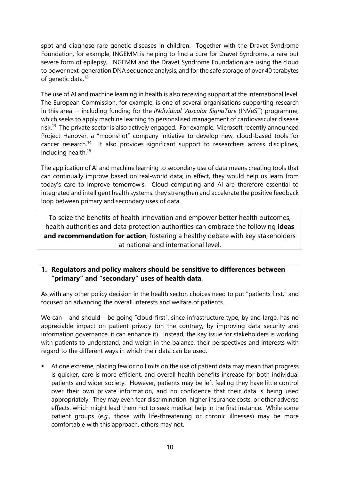spot and diagnose rare genetic diseases in children. Together with the Dravet Syndrome Foundation, for example, INGEMM is helping to find a cure for Dravet Syndrome, a rare but severe form of epilepsy. INGEMM and the Dravet Syndrome Foundation are using the cloud to power next-generation DNA sequence analysis, and for the safe storage of over 40 terabytes of genetic data.<sup>12</sup>

The use of AI and machine learning in health is also receiving support at the international level. The European Commission, for example, is one of several organisations supporting research in this area – including funding for the *INdividual Vascular SignaTure* (INVeST) programme, which seeks to apply machine learning to personalised management of cardiovascular disease risk.<sup>13</sup> The private sector is also actively engaged. For example, Microsoft recently announced Project Hanover, a "moonshot" company initiative to develop new, cloud-based tools for cancer research.<sup>14</sup> It also provides significant support to researchers across disciplines, including health.<sup>15</sup>

The application of AI and machine learning to secondary use of data means creating tools that can continually improve based on real-world data; in effect, they would help us learn from today's care to improve tomorrow's. Cloud computing and AI are therefore essential to integrated and intelligent health systems: they strengthen and accelerate the positive feedback loop between primary and secondary uses of data.

To seize the benefits of health innovation and empower better health outcomes, health authorities and data protection authorities can embrace the following **ideas and recommendation for action**, fostering a healthy debate with key stakeholders at national and international level.

### **1. Regulators and policy makers should be sensitive to differences between "primary" and "secondary" uses of health data**.

As with any other policy decision in the health sector, choices need to put "patients first," and focused on advancing the overall interests and welfare of patients.

We can – and should – be going "cloud-first", since infrastructure type, by and large, has no appreciable impact on patient privacy (on the contrary, by improving data security and information governance, it can enhance it). Instead, the key issue for stakeholders is working with patients to understand, and weigh in the balance, their perspectives and interests with regard to the different ways in which their data can be used.

 At one extreme, placing few or no limits on the use of patient data may mean that progress is quicker, care is more efficient, and overall health benefits increase for both individual patients and wider society. However, patients may be left feeling they have little control over their own private information, and no confidence that their data is being used appropriately. They may even fear discrimination, higher insurance costs, or other adverse effects, which might lead them not to seek medical help in the first instance. While some patient groups (*e.g.,* those with life-threatening or chronic illnesses) may be more comfortable with this approach, others may not.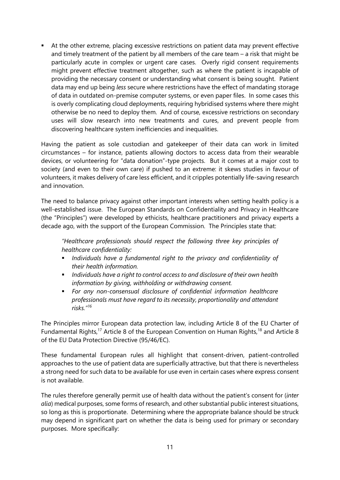At the other extreme, placing excessive restrictions on patient data may prevent effective and timely treatment of the patient by all members of the care team – a risk that might be particularly acute in complex or urgent care cases. Overly rigid consent requirements might prevent effective treatment altogether, such as where the patient is incapable of providing the necessary consent or understanding what consent is being sought. Patient data may end up being *less* secure where restrictions have the effect of mandating storage of data in outdated on-premise computer systems, or even paper files. In some cases this is overly complicating cloud deployments, requiring hybridised systems where there might otherwise be no need to deploy them. And of course, excessive restrictions on secondary uses will slow research into new treatments and cures, and prevent people from discovering healthcare system inefficiencies and inequalities.

Having the patient as sole custodian and gatekeeper of their data can work in limited circumstances – for instance, patients allowing doctors to access data from their wearable devices, or volunteering for "data donation"-type projects. But it comes at a major cost to society (and even to their own care) if pushed to an extreme: it skews studies in favour of volunteers, it makes delivery of care less efficient, and it cripples potentially life-saving research and innovation.

The need to balance privacy against other important interests when setting health policy is a well-established issue. The European Standards on Confidentiality and Privacy in Healthcare (the "Principles") were developed by ethicists, healthcare practitioners and privacy experts a decade ago, with the support of the European Commission. The Principles state that:

*"Healthcare professionals should respect the following three key principles of healthcare confidentiality:*

- *Individuals have a fundamental right to the privacy and confidentiality of their health information.*
- *Individuals have a right to control access to and disclosure of their own health information by giving, withholding or withdrawing consent.*
- *For any non-consensual disclosure of confidential information healthcare professionals must have regard to its necessity, proportionality and attendant risks."<sup>16</sup>*

The Principles mirror European data protection law, including Article 8 of the EU Charter of Fundamental Rights,<sup>17</sup> Article 8 of the European Convention on Human Rights,<sup>18</sup> and Article 8 of the EU Data Protection Directive (95/46/EC).

These fundamental European rules all highlight that consent-driven, patient-controlled approaches to the use of patient data are superficially attractive, but that there is nevertheless a strong need for such data to be available for use even in certain cases where express consent is not available.

The rules therefore generally permit use of health data without the patient's consent for (*inter alia*) medical purposes, some forms of research, and other substantial public interest situations, so long as this is proportionate. Determining where the appropriate balance should be struck may depend in significant part on whether the data is being used for primary or secondary purposes. More specifically: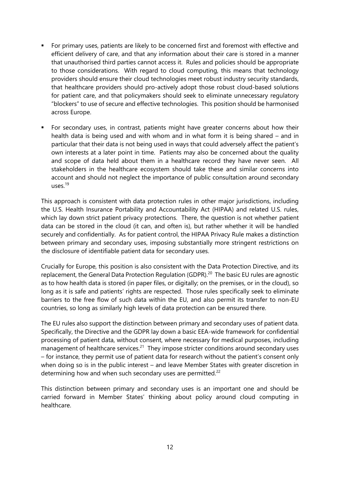- For primary uses, patients are likely to be concerned first and foremost with effective and efficient delivery of care, and that any information about their care is stored in a manner that unauthorised third parties cannot access it. Rules and policies should be appropriate to those considerations. With regard to cloud computing, this means that technology providers should ensure their cloud technologies meet robust industry security standards, that healthcare providers should pro-actively adopt those robust cloud-based solutions for patient care, and that policymakers should seek to eliminate unnecessary regulatory "blockers" to use of secure and effective technologies. This position should be harmonised across Europe.
- For secondary uses, in contrast, patients might have greater concerns about how their health data is being used and with whom and in what form it is being shared – and in particular that their data is not being used in ways that could adversely affect the patient's own interests at a later point in time. Patients may also be concerned about the quality and scope of data held about them in a healthcare record they have never seen. All stakeholders in the healthcare ecosystem should take these and similar concerns into account and should not neglect the importance of public consultation around secondary uses. $19$

This approach is consistent with data protection rules in other major jurisdictions, including the U.S. Health Insurance Portability and Accountability Act (HIPAA) and related U.S. rules, which lay down strict patient privacy protections. There, the question is not whether patient data can be stored in the cloud (it can, and often is), but rather whether it will be handled securely and confidentially. As for patient control, the HIPAA Privacy Rule makes a distinction between primary and secondary uses, imposing substantially more stringent restrictions on the disclosure of identifiable patient data for secondary uses.

Crucially for Europe, this position is also consistent with the Data Protection Directive, and its replacement, the General Data Protection Regulation (GDPR).<sup>20</sup> The basic EU rules are agnostic as to how health data is stored (in paper files, or digitally; on the premises, or in the cloud), so long as it is safe and patients' rights are respected. Those rules specifically seek to eliminate barriers to the free flow of such data within the EU, and also permit its transfer to non-EU countries, so long as similarly high levels of data protection can be ensured there.

The EU rules also support the distinction between primary and secondary uses of patient data. Specifically, the Directive and the GDPR lay down a basic EEA-wide framework for confidential processing of patient data, without consent, where necessary for medical purposes, including management of healthcare services.<sup>21</sup> They impose stricter conditions around secondary uses – for instance, they permit use of patient data for research without the patient's consent only when doing so is in the public interest – and leave Member States with greater discretion in determining how and when such secondary uses are permitted. $22$ 

This distinction between primary and secondary uses is an important one and should be carried forward in Member States' thinking about policy around cloud computing in healthcare.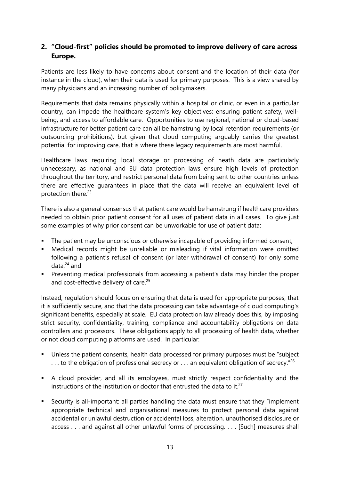## <span id="page-12-0"></span>**2. "Cloud-first" policies should be promoted to improve delivery of care across Europe.**

Patients are less likely to have concerns about consent and the location of their data (for instance in the cloud), when their data is used for primary purposes. This is a view shared by many physicians and an increasing number of policymakers.

Requirements that data remains physically within a hospital or clinic, or even in a particular country, can impede the healthcare system's key objectives: ensuring patient safety, wellbeing, and access to affordable care. Opportunities to use regional, national or cloud-based infrastructure for better patient care can all be hamstrung by local retention requirements (or outsourcing prohibitions), but given that cloud computing arguably carries the greatest potential for improving care, that is where these legacy requirements are most harmful.

Healthcare laws requiring local storage or processing of heath data are particularly unnecessary, as national and EU data protection laws ensure high levels of protection throughout the territory, and restrict personal data from being sent to other countries unless there are effective guarantees in place that the data will receive an equivalent level of protection there.<sup>23</sup>

There is also a general consensus that patient care would be hamstrung if healthcare providers needed to obtain prior patient consent for all uses of patient data in all cases. To give just some examples of why prior consent can be unworkable for use of patient data:

- The patient may be unconscious or otherwise incapable of providing informed consent;
- Medical records might be unreliable or misleading if vital information were omitted following a patient's refusal of consent (or later withdrawal of consent) for only some data; <sup>24</sup> and
- **Preventing medical professionals from accessing a patient's data may hinder the proper** and cost-effective delivery of care.<sup>25</sup>

Instead, regulation should focus on ensuring that data is used for appropriate purposes, that it is sufficiently secure, and that the data processing can take advantage of cloud computing's significant benefits, especially at scale. EU data protection law already does this, by imposing strict security, confidentiality, training, compliance and accountability obligations on data controllers and processors. These obligations apply to all processing of health data, whether or not cloud computing platforms are used. In particular:

- Unless the patient consents, health data processed for primary purposes must be "subject"  $\dots$  to the obligation of professional secrecy or  $\dots$  an equivalent obligation of secrecy."<sup>26</sup>
- A cloud provider, and all its employees, must strictly respect confidentiality and the instructions of the institution or doctor that entrusted the data to it.<sup>27</sup>
- Security is all-important: all parties handling the data must ensure that they "implement appropriate technical and organisational measures to protect personal data against accidental or unlawful destruction or accidental loss, alteration, unauthorised disclosure or access . . . and against all other unlawful forms of processing. . . . [Such] measures shall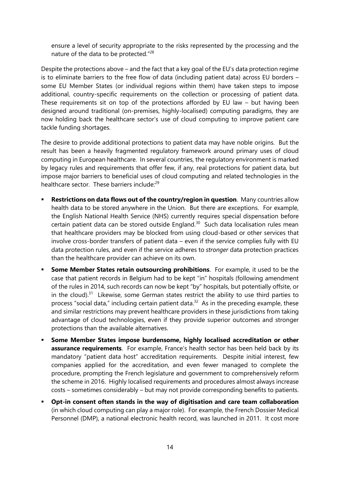ensure a level of security appropriate to the risks represented by the processing and the nature of the data to be protected."<sup>28</sup>

Despite the protections above – and the fact that a key goal of the EU's data protection regime is to eliminate barriers to the free flow of data (including patient data) across EU borders – some EU Member States (or individual regions within them) have taken steps to impose additional, country-specific requirements on the collection or processing of patient data. These requirements sit on top of the protections afforded by EU law – but having been designed around traditional (on-premises, highly-localised) computing paradigms, they are now holding back the healthcare sector's use of cloud computing to improve patient care tackle funding shortages.

The desire to provide additional protections to patient data may have noble origins. But the result has been a heavily fragmented regulatory framework around primary uses of cloud computing in European healthcare. In several countries, the regulatory environment is marked by legacy rules and requirements that offer few, if any, real protections for patient data, but impose major barriers to beneficial uses of cloud computing and related technologies in the healthcare sector. These barriers include:<sup>29</sup>

- <span id="page-13-1"></span><span id="page-13-0"></span> **Restrictions on data flows out of the country/region in question**. Many countries allow health data to be stored anywhere in the Union. But there are exceptions. For example, the English National Health Service (NHS) currently requires special dispensation before certain patient data can be stored outside England. $30$  Such data localisation rules mean that healthcare providers may be blocked from using cloud-based or other services that involve cross-border transfers of patient data – even if the service complies fully with EU data protection rules, and even if the service adheres to *stronger* data protection practices than the healthcare provider can achieve on its own.
- **Some Member States retain outsourcing prohibitions**. For example, it used to be the case that patient records in Belgium had to be kept "in" hospitals (following amendment of the rules in 2014, such records can now be kept "by" hospitals, but potentially offsite, or in the cloud).<sup>31</sup> Likewise, some German states restrict the ability to use third parties to process "social data," including certain patient data.<sup>32</sup> As in the preceding example, these and similar restrictions may prevent healthcare providers in these jurisdictions from taking advantage of cloud technologies, even if they provide superior outcomes and stronger protections than the available alternatives.
- **Some Member States impose burdensome, highly localised accreditation or other assurance requirements**. For example, France's health sector has been held back by its mandatory "patient data host" accreditation requirements. Despite initial interest, few companies applied for the accreditation, and even fewer managed to complete the procedure, prompting the French legislature and government to comprehensively reform the scheme in 2016. Highly localised requirements and procedures almost always increase costs – sometimes considerably – but may not provide corresponding benefits to patients.
- **Opt-in consent often stands in the way of digitisation and care team collaboration** (in which cloud computing can play a major role). For example, the French Dossier Medical Personnel (DMP), a national electronic health record, was launched in 2011. It cost more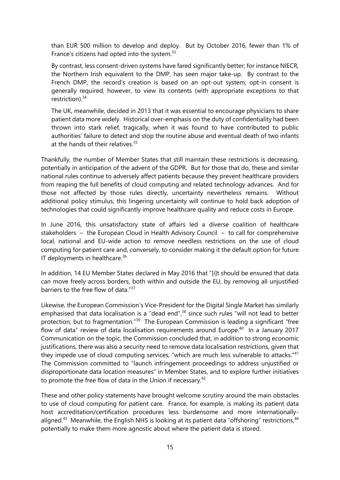than EUR 500 million to develop and deploy. But by October 2016, fewer than 1% of France's citizens had opted into the system.<sup>33</sup>

By contrast, less consent-driven systems have fared significantly better; for instance NIECR, the Northern Irish equivalent to the DMP, has seen major take-up. By contrast to the French DMP, the record's creation is based on an opt-out system; opt-in consent is generally required, however, to view its contents (with appropriate exceptions to that restriction). 34

The UK, meanwhile, decided in 2013 that it was essential to encourage physicians to share patient data more widely. Historical over-emphasis on the duty of confidentiality had been thrown into stark relief, tragically, when it was found to have contributed to public authorities' failure to detect and stop the routine abuse and eventual death of two infants at the hands of their relatives. $35$ 

Thankfully, the number of Member States that still maintain these restrictions is decreasing, potentially in anticipation of the advent of the GDPR. But for those that do, these and similar national rules continue to adversely affect patients because they prevent healthcare providers from reaping the full benefits of cloud computing and related technology advances. And for those not affected by those rules directly, uncertainty nevertheless remains. Without additional policy stimulus, this lingering uncertainty will continue to hold back adoption of technologies that could significantly improve healthcare quality and reduce costs in Europe.

In June 2016, this unsatisfactory state of affairs led a diverse coalition of healthcare stakeholders – the European Cloud in Health Advisory Council – to call for comprehensive local, national and EU-wide action to remove needless restrictions on the use of cloud computing for patient care and, conversely, to consider making it the default option for future IT deployments in healthcare. $36$ 

<span id="page-14-0"></span>In addition, 14 EU Member States declared in May 2016 that "[i]t should be ensured that data can move freely across borders, both within and outside the EU, by removing all unjustified barriers to the free flow of data."<sup>37</sup>

Likewise, the European Commission's Vice-President for the Digital Single Market has similarly emphasised that data localisation is a "dead end",<sup>38</sup> since such rules "will not lead to better protection, but to fragmentation."<sup>39</sup> The European Commission is leading a significant "free flow of data" review of data localisation requirements around Europe.<sup>40</sup> In a January 2017 Communication on the topic, the Commission concluded that, in addition to strong economic justifications, there was also a security need to remove data localisation restrictions, given that they impede use of cloud computing services, "which are much less vulnerable to attacks."<sup>41</sup> The Commission committed to "launch infringement proceedings to address unjustified or disproportionate data location measures" in Member States, and to explore further initiatives to promote the free flow of data in the Union if necessary.<sup>42</sup>

These and other policy statements have brought welcome scrutiny around the main obstacles to use of cloud computing for patient care. France, for example, is making its patient data host accreditation/certification procedures less burdensome and more internationallyaligned.<sup>43</sup> Meanwhile, the English NHS is looking at its patient data "offshoring" restrictions,<sup>44</sup> potentially to make them more agnostic about where the patient data is stored.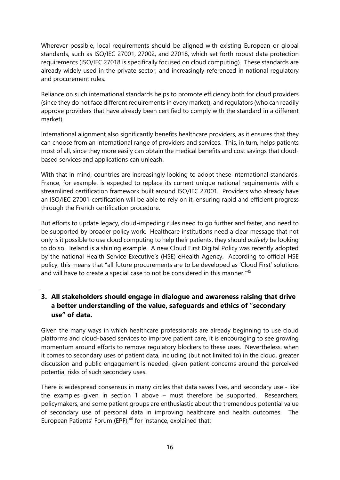Wherever possible, local requirements should be aligned with existing European or global standards, such as ISO/IEC 27001, 27002, and 27018, which set forth robust data protection requirements (ISO/IEC 27018 is specifically focused on cloud computing). These standards are already widely used in the private sector, and increasingly referenced in national regulatory and procurement rules.

Reliance on such international standards helps to promote efficiency both for cloud providers (since they do not face different requirements in every market), and regulators (who can readily approve providers that have already been certified to comply with the standard in a different market).

International alignment also significantly benefits healthcare providers, as it ensures that they can choose from an international range of providers and services. This, in turn, helps patients most of all, since they more easily can obtain the medical benefits and cost savings that cloudbased services and applications can unleash.

With that in mind, countries are increasingly looking to adopt these international standards. France, for example, is expected to replace its current unique national requirements with a streamlined certification framework built around ISO/IEC 27001. Providers who already have an ISO/IEC 27001 certification will be able to rely on it, ensuring rapid and efficient progress through the French certification procedure.

But efforts to update legacy, cloud-impeding rules need to go further and faster, and need to be supported by broader policy work. Healthcare institutions need a clear message that not only is it possible to use cloud computing to help their patients, they should *actively* be looking to do so. Ireland is a shining example. A new Cloud First Digital Policy was recently adopted by the national Health Service Executive's (HSE) eHealth Agency. According to official HSE policy, this means that "all future procurements are to be developed as 'Cloud First' solutions and will have to create a special case to not be considered in this manner."<sup>45</sup>

## **3. All stakeholders should engage in dialogue and awareness raising that drive a better understanding of the value, safeguards and ethics of "secondary use" of data.**

Given the many ways in which healthcare professionals are already beginning to use cloud platforms and cloud-based services to improve patient care, it is encouraging to see growing momentum around efforts to remove regulatory blockers to these uses. Nevertheless, when it comes to secondary uses of patient data, including (but not limited to) in the cloud, greater discussion and public engagement is needed, given patient concerns around the perceived potential risks of such secondary uses.

There is widespread consensus in many circles that data saves lives, and secondary use - like the examples given in section 1 above – must therefore be supported. Researchers, policymakers, and some patient groups are enthusiastic about the tremendous potential value of secondary use of personal data in improving healthcare and health outcomes. The European Patients' Forum (EPF),<sup>46</sup> for instance, explained that: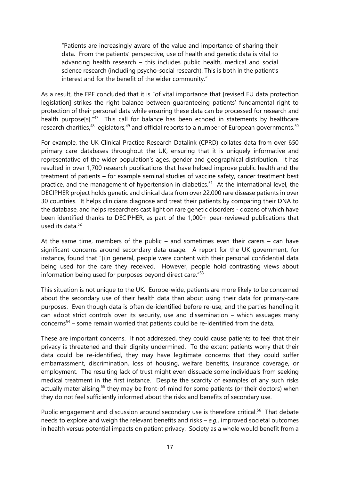"Patients are increasingly aware of the value and importance of sharing their data. From the patients' perspective, use of health and genetic data is vital to advancing health research – this includes public health, medical and social science research (including psycho-social research). This is both in the patient's interest and for the benefit of the wider community."

As a result, the EPF concluded that it is "of vital importance that [revised EU data protection legislation] strikes the right balance between guaranteeing patients' fundamental right to protection of their personal data while ensuring these data can be processed for research and health purpose[s]."<sup>47</sup> This call for balance has been echoed in statements by healthcare research charities, $48$  legislators, $49$  and official reports to a number of European governments. $50$ 

For example, the UK Clinical Practice Research Datalink (CPRD) collates data from over 650 primary care databases throughout the UK, ensuring that it is uniquely informative and representative of the wider population's ages, gender and geographical distribution. It has resulted in over 1,700 research publications that have helped improve public health and the treatment of patients – for example seminal studies of vaccine safety, cancer treatment best practice, and the management of hypertension in diabetics.<sup>51</sup> At the international level, the DECIPHER project holds genetic and clinical data from over 22,000 rare disease patients in over 30 countries. It helps clinicians diagnose and treat their patients by comparing their DNA to the database, and helps researchers cast light on rare genetic disorders - dozens of which have been identified thanks to DECIPHER, as part of the 1,000+ peer-reviewed publications that used its data  $52$ 

At the same time, members of the public – and sometimes even their carers – can have significant concerns around secondary data usage. A report for the UK government, for instance, found that "[i]n general, people were content with their personal confidential data being used for the care they received. However, people hold contrasting views about information being used for purposes beyond direct care." 53

This situation is not unique to the UK. Europe-wide, patients are more likely to be concerned about the secondary use of their health data than about using their data for primary-care purposes. Even though data is often de-identified before re-use, and the parties handling it can adopt strict controls over its security, use and dissemination – which assuages many concerns<sup>54</sup> – some remain worried that patients could be re-identified from the data.

These are important concerns. If not addressed, they could cause patients to feel that their privacy is threatened and their dignity undermined. To the extent patients worry that their data could be re-identified, they may have legitimate concerns that they could suffer embarrassment, discrimination, loss of housing, welfare benefits, insurance coverage, or employment. The resulting lack of trust might even dissuade some individuals from seeking medical treatment in the first instance. Despite the scarcity of examples of any such risks actually materialising,<sup>55</sup> they may be front-of-mind for some patients (or their doctors) when they do not feel sufficiently informed about the risks and benefits of secondary use.

Public engagement and discussion around secondary use is therefore critical.<sup>56</sup> That debate needs to explore and weigh the relevant benefits and risks – *e.g.*, improved societal outcomes in health versus potential impacts on patient privacy. Society as a whole would benefit from a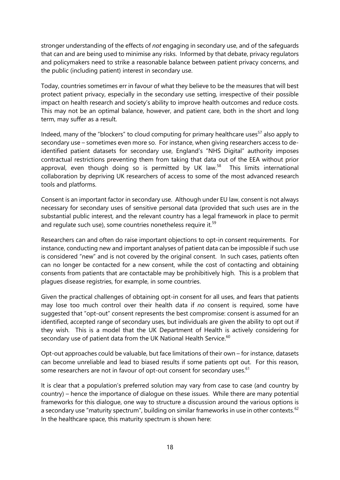stronger understanding of the effects of *not* engaging in secondary use, and of the safeguards that can and are being used to minimise any risks. Informed by that debate, privacy regulators and policymakers need to strike a reasonable balance between patient privacy concerns, and the public (including patient) interest in secondary use.

Today, countries sometimes err in favour of what they believe to be the measures that will best protect patient privacy, especially in the secondary use setting, irrespective of their possible impact on health research and society's ability to improve health outcomes and reduce costs. This may not be an optimal balance, however, and patient care, both in the short and long term, may suffer as a result.

Indeed, many of the "blockers" to cloud computing for primary healthcare uses $57$  also apply to secondary use – sometimes even more so. For instance, when giving researchers access to deidentified patient datasets for secondary use, England's "NHS Digital" authority imposes contractual restrictions preventing them from taking that data out of the EEA without prior approval, even though doing so is permitted by UK law.<sup>58</sup> This limits international collaboration by depriving UK researchers of access to some of the most advanced research tools and platforms.

Consent is an important factor in secondary use. Although under EU law, consent is not always necessary for secondary uses of sensitive personal data (provided that such uses are in the substantial public interest, and the relevant country has a legal framework in place to permit and regulate such use), some countries nonetheless require it.<sup>59</sup>

Researchers can and often do raise important objections to opt-in consent requirements. For instance, conducting new and important analyses of patient data can be impossible if such use is considered "new" and is not covered by the original consent. In such cases, patients often can no longer be contacted for a new consent, while the cost of contacting and obtaining consents from patients that are contactable may be prohibitively high. This is a problem that plagues disease registries, for example, in some countries.

Given the practical challenges of obtaining opt-in consent for all uses, and fears that patients may lose too much control over their health data if *no* consent is required, some have suggested that "opt-out" consent represents the best compromise: consent is assumed for an identified, accepted range of secondary uses, but individuals are given the ability to opt out if they wish. This is a model that the UK Department of Health is actively considering for secondary use of patient data from the UK National Health Service. $^{60}$ 

Opt-out approaches could be valuable, but face limitations of their own – for instance, datasets can become unreliable and lead to biased results if some patients opt out. For this reason, some researchers are not in favour of opt-out consent for secondary uses.<sup>61</sup>

It is clear that a population's preferred solution may vary from case to case (and country by country) – hence the importance of dialogue on these issues. While there are many potential frameworks for this dialogue, one way to structure a discussion around the various options is a secondary use "maturity spectrum", building on similar frameworks in use in other contexts.<sup>62</sup> In the healthcare space, this maturity spectrum is shown here: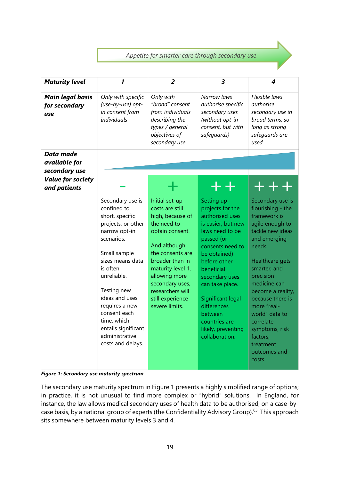### *Appetite for smarter care through secondary use*

| <b>Maturity level</b>                           | 1                                                                                                                                                                                                                                                                                                                      | 2                                                                                                                                                                                                                                                                 | 3                                                                                                                                                                                                                                                                                                                       | 4                                                                                                                                                                                                                                                                                                                                                  |
|-------------------------------------------------|------------------------------------------------------------------------------------------------------------------------------------------------------------------------------------------------------------------------------------------------------------------------------------------------------------------------|-------------------------------------------------------------------------------------------------------------------------------------------------------------------------------------------------------------------------------------------------------------------|-------------------------------------------------------------------------------------------------------------------------------------------------------------------------------------------------------------------------------------------------------------------------------------------------------------------------|----------------------------------------------------------------------------------------------------------------------------------------------------------------------------------------------------------------------------------------------------------------------------------------------------------------------------------------------------|
| <b>Main legal basis</b><br>for secondary<br>use | Only with specific<br>(use-by-use) opt-<br>in consent from<br>individuals                                                                                                                                                                                                                                              | Only with<br>"broad" consent<br>from individuals<br>describing the<br>types / general<br>objectives of<br>secondary use                                                                                                                                           | Narrow laws<br>authorise specific<br>secondary uses<br>(without opt-in<br>consent, but with<br>safeguards)                                                                                                                                                                                                              | Flexible laws<br>authorise<br>secondary use in<br>broad terms, so<br>long as strong<br>safeguards are<br>used                                                                                                                                                                                                                                      |
| Data made<br>available for<br>secondary use     |                                                                                                                                                                                                                                                                                                                        |                                                                                                                                                                                                                                                                   |                                                                                                                                                                                                                                                                                                                         |                                                                                                                                                                                                                                                                                                                                                    |
| <b>Value for society</b><br>and patients        |                                                                                                                                                                                                                                                                                                                        | ┹                                                                                                                                                                                                                                                                 | $+ +$                                                                                                                                                                                                                                                                                                                   | +++                                                                                                                                                                                                                                                                                                                                                |
|                                                 | Secondary use is<br>confined to<br>short, specific<br>projects, or other<br>narrow opt-in<br>scenarios.<br>Small sample<br>sizes means data<br>is often<br>unreliable.<br>Testing new<br>ideas and uses<br>requires a new<br>consent each<br>time, which<br>entails significant<br>administrative<br>costs and delays. | Initial set-up<br>costs are still<br>high, because of<br>the need to<br>obtain consent.<br>And although<br>the consents are<br>broader than in<br>maturity level 1,<br>allowing more<br>secondary uses,<br>researchers will<br>still experience<br>severe limits. | Setting up<br>projects for the<br>authorised uses<br>is easier, but new<br>laws need to be<br>passed (or<br>consents need to<br>be obtained)<br>before other<br>beneficial<br>secondary uses<br>can take place.<br>Significant legal<br>differences<br>between<br>countries are<br>likely, preventing<br>collaboration. | Secondary use is<br>flourishing - the<br>framework is<br>agile enough to<br>tackle new ideas<br>and emerging<br>needs.<br>Healthcare gets<br>smarter, and<br>precision<br>medicine can<br>become a reality,<br>because there is<br>more "real-<br>world" data to<br>correlate<br>symptoms, risk<br>factors,<br>treatment<br>outcomes and<br>costs. |

<span id="page-18-0"></span>*Figure 1: Secondary use maturity spectrum*

The secondary use maturity spectrum in [Figure 1](#page-18-0) presents a highly simplified range of options; in practice, it is not unusual to find more complex or "hybrid" solutions. In England, for instance, the law allows medical secondary uses of health data to be authorised, on a case-bycase basis, by a national group of experts (the Confidentiality Advisory Group).<sup>63</sup> This approach sits somewhere between maturity levels 3 and 4.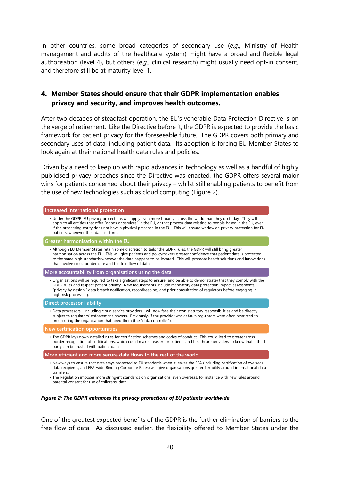In other countries, some broad categories of secondary use (*e.g.*, Ministry of Health management and audits of the healthcare system) might have a broad and flexible legal authorisation (level 4), but others (*e.g*., clinical research) might usually need opt-in consent, and therefore still be at maturity level 1.

#### **4. Member States should ensure that their GDPR implementation enables privacy and security, and improves health outcomes.**

After two decades of steadfast operation, the EU's venerable Data Protection Directive is on the verge of retirement. Like the Directive before it, the GDPR is expected to provide the basic framework for patient privacy for the foreseeable future. The GDPR covers both primary and secondary uses of data, including patient data. Its adoption is forcing EU Member States to look again at their national health data rules and policies.

Driven by a need to keep up with rapid advances in technology as well as a handful of highly publicised privacy breaches since the Directive was enacted, the GDPR offers several major wins for patients concerned about their privacy – whilst still enabling patients to benefit from the use of new technologies such as cloud computing [\(Figure 2\)](#page-19-0).

| Increased international protection                                                                                                                                                                                                                                                                                                                                                                                                                |  |  |  |  |
|---------------------------------------------------------------------------------------------------------------------------------------------------------------------------------------------------------------------------------------------------------------------------------------------------------------------------------------------------------------------------------------------------------------------------------------------------|--|--|--|--|
| . Under the GDPR, EU privacy protections will apply even more broadly across the world than they do today. They will<br>apply to all entities that offer "goods or services" in the EU, or that process data relating to people based in the EU, even<br>if the processing entity does not have a physical presence in the EU. This will ensure worldwide privacy protection for EU<br>patients, wherever their data is stored.                   |  |  |  |  |
| Greater harmonisation within the EU                                                                                                                                                                                                                                                                                                                                                                                                               |  |  |  |  |
| . Although EU Member States retain some discretion to tailor the GDPR rules, the GDPR will still bring greater<br>harmonisation across the EU. This will give patients and policymakers greater confidence that patient data is protected<br>to the same high standards wherever the data happens to be located. This will promote health solutions and innovations<br>that involve cross-border care and the free flow of data                   |  |  |  |  |
| More accountability from organisations using the data                                                                                                                                                                                                                                                                                                                                                                                             |  |  |  |  |
| • Organisations will be required to take significant steps to ensure (and be able to demonstrate) that they comply with the<br>GDPR rules and respect patient privacy. New requirements include mandatory data protection impact assessments,<br>"privacy by design," data breach notification, recordkeeping, and prior consultation of regulators before engaging in<br>high-risk processing.                                                   |  |  |  |  |
| <b>Direct processor liability</b>                                                                                                                                                                                                                                                                                                                                                                                                                 |  |  |  |  |
| • Data processors - including cloud service providers - will now face their own statutory responsibilities and be directly<br>subject to regulators' enforcement powers. Previously, if the provider was at fault, regulators were often restricted to<br>prosecuting the organisation that hired them (the "data controller").                                                                                                                   |  |  |  |  |
| New certification opportunities                                                                                                                                                                                                                                                                                                                                                                                                                   |  |  |  |  |
| . The GDPR lays down detailed rules for certification schemes and codes of conduct. This could lead to greater cross-<br>border recoginition of certifications, which could make it easier for patients and healthcare providers to know that a third<br>party can be trusted with patient data.                                                                                                                                                  |  |  |  |  |
| More efficient and more secure data flows to the rest of the world                                                                                                                                                                                                                                                                                                                                                                                |  |  |  |  |
| . New ways to ensure that data stays protected to EU standards when it leaves the EEA (including certification of overseas<br>data recipients, and EEA-wide Binding Corporate Rules) will give organisations greater flexibility around international data<br>transfers.<br>• The Regulation imposes more stringent standards on organisations, even overseas, for instance with new rules around<br>parental consent for use of childrens' data. |  |  |  |  |

#### <span id="page-19-0"></span>*Figure 2: The GDPR enhances the privacy protections of EU patients worldwide*

One of the greatest expected benefits of the GDPR is the further elimination of barriers to the free flow of data. As discussed earlier, the flexibility offered to Member States under the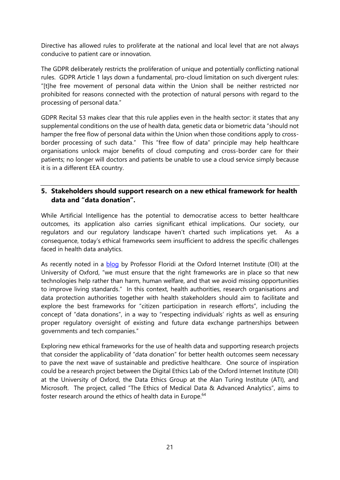Directive has allowed rules to proliferate at the national and local level that are not always conducive to patient care or innovation.

The GDPR deliberately restricts the proliferation of unique and potentially conflicting national rules. GDPR Article 1 lays down a fundamental, pro-cloud limitation on such divergent rules: "[t]he free movement of personal data within the Union shall be neither restricted nor prohibited for reasons connected with the protection of natural persons with regard to the processing of personal data."

GDPR Recital 53 makes clear that this rule applies even in the health sector: it states that any supplemental conditions on the use of health data, genetic data or biometric data "should not hamper the free flow of personal data within the Union when those conditions apply to crossborder processing of such data." This "free flow of data" principle may help healthcare organisations unlock major benefits of cloud computing and cross-border care for their patients; no longer will doctors and patients be unable to use a cloud service simply because it is in a different EEA country.

#### **5. Stakeholders should support research on a new ethical framework for health data and "data donation".**

While Artificial Intelligence has the potential to democratise access to better healthcare outcomes, its application also carries significant ethical implications. Our society, our regulators and our regulatory landscape haven't charted such implications yet. As a consequence, today's ethical frameworks seem insufficient to address the specific challenges faced in health data analytics.

As recently noted in a [blog](https://blogs.microsoft.com/eupolicy/2017/04/07/ethics-now-shaping-a-new-ethical-framework-for-health-data/#2CWdTYF1xx212Vpk.99) by Professor Floridi at the Oxford Internet Institute (OII) at the University of Oxford, "we must ensure that the right frameworks are in place so that new technologies help rather than harm, human welfare, and that we avoid missing opportunities to improve living standards." In this context, health authorities, research organisations and data protection authorities together with health stakeholders should aim to facilitate and explore the best frameworks for "citizen participation in research efforts", including the concept of "data donations", in a way to "respecting individuals' rights as well as ensuring proper regulatory oversight of existing and future data exchange partnerships between governments and tech companies."

Exploring new ethical frameworks for the use of health data and supporting research projects that consider the applicability of "data donation" for better health outcomes seem necessary to pave the next wave of sustainable and predictive healthcare. One source of inspiration could be a research project between the Digital Ethics Lab of the Oxford Internet Institute (OII) at the University of Oxford, the Data Ethics Group at the Alan Turing Institute (ATI), and Microsoft. The project, called "The Ethics of Medical Data & Advanced Analytics", aims to foster research around the ethics of health data in Europe.<sup>64</sup>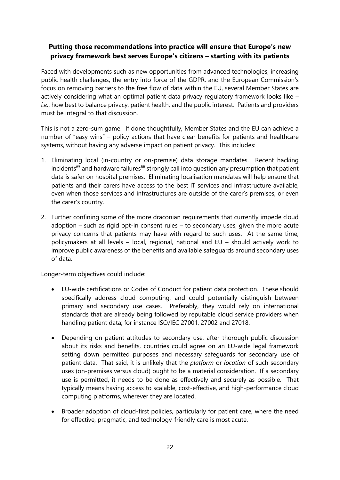## **Putting those recommendations into practice will ensure that Europe's new privacy framework best serves Europe's citizens – starting with its patients**

Faced with developments such as new opportunities from advanced technologies, increasing public health challenges, the entry into force of the GDPR, and the European Commission's focus on removing barriers to the free flow of data within the EU, several Member States are actively considering what an optimal patient data privacy regulatory framework looks like – *i.e.*, how best to balance privacy, patient health, and the public interest. Patients and providers must be integral to that discussion.

This is not a zero-sum game. If done thoughtfully, Member States and the EU can achieve a number of "easy wins" – policy actions that have clear benefits for patients and healthcare systems, without having any adverse impact on patient privacy. This includes:

- 1. Eliminating local (in-country or on-premise) data storage mandates. Recent hacking  $incidents<sup>65</sup>$  and hardware failures<sup>66</sup> strongly call into question any presumption that patient data is safer on hospital premises. Eliminating localisation mandates will help ensure that patients and their carers have access to the best IT services and infrastructure available, even when those services and infrastructures are outside of the carer's premises, or even the carer's country.
- 2. Further confining some of the more draconian requirements that currently impede cloud adoption – such as rigid opt-in consent rules – to secondary uses, given the more acute privacy concerns that patients may have with regard to such uses. At the same time, policymakers at all levels – local, regional, national and EU – should actively work to improve public awareness of the benefits and available safeguards around secondary uses of data.

Longer-term objectives could include:

- EU-wide certifications or Codes of Conduct for patient data protection. These should specifically address cloud computing, and could potentially distinguish between primary and secondary use cases. Preferably, they would rely on international standards that are already being followed by reputable cloud service providers when handling patient data; for instance ISO/IEC 27001, 27002 and 27018.
- Depending on patient attitudes to secondary use, after thorough public discussion about its risks and benefits, countries could agree on an EU-wide legal framework setting down permitted purposes and necessary safeguards for secondary use of patient data. That said, it is unlikely that the *platform* or *location* of such secondary uses (on-premises versus cloud) ought to be a material consideration. If a secondary use is permitted, it needs to be done as effectively and securely as possible. That typically means having access to scalable, cost-effective, and high-performance cloud computing platforms, wherever they are located.
- Broader adoption of cloud-first policies, particularly for patient care, where the need for effective, pragmatic, and technology-friendly care is most acute.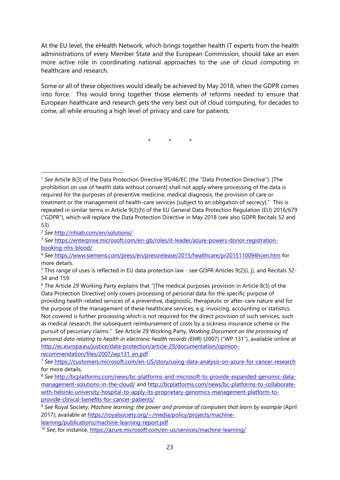At the EU level, the eHealth Network, which brings together health IT experts from the health administrations of every Member State and the European Commission, should take an even more active role in coordinating national approaches to the use of cloud computing in healthcare and research.

Some or all of these objectives would ideally be achieved by May 2018, when the GDPR comes into force. This would bring together those elements of reforms needed to ensure that European healthcare and research gets the very best out of cloud computing, for decades to come, all while ensuring a high level of privacy and care for patients.

\* \* \*

-

[recommendation/files/2007/wp131\\_en.pdf](http://ec.europa.eu/justice/data-protection/article-29/documentation/opinion-recommendation/files/2007/wp131_en.pdf)

<sup>1</sup> *See* Article 8(3) of the Data Protection Directive 95/46/EC (the "Data Protection Directive"): [The prohibition on use of health data without consent] shall not apply where processing of the data is required for the purposes of preventive medicine, medical diagnosis, the provision of care or treatment or the management of health-care services [subject to an obligation of secrecy]." This is repeated in similar terms in Article 9(2)(h) of the EU General Data Protection Regulation (EU) 2016/679 ("GDPR"), which will replace the Data Protection Directive in May 2018 (see also GDPR Recitals 52 and 53).

<sup>2</sup> *See* <http://nhiab.com/en/solutions/>

<sup>3</sup> *See* [https://enterprise.microsoft.com/en-gb/roles/it-leader/azure-powers-donor-registration](https://enterprise.microsoft.com/en-gb/roles/it-leader/azure-powers-donor-registration-booking-nhs-blood/)[booking-nhs-blood/](https://enterprise.microsoft.com/en-gb/roles/it-leader/azure-powers-donor-registration-booking-nhs-blood/)

<sup>4</sup> *See* <https://www.siemens.com/press/en/pressrelease/2015/healthcare/pr2015110094hcen.htm> for more details.

<sup>5</sup> This range of uses is reflected in EU data protection law - see GDPR Articles 9(2)(i, j), and Recitals 52- 54 and 159.

<sup>6</sup> The Article 29 Working Party explains that "[The medical purposes provision in Article 8(3) of the Data Protection Directive] only covers processing of personal data for the specific purpose of providing health-related services of a preventive, diagnostic, therapeutic or after-care nature and for the purpose of the management of these healthcare services, e.g. invoicing, accounting or statistics. Not covered is further processing which is not required for the direct provision of such services, such as medical research, the subsequent reimbursement of costs by a sickness insurance scheme or the pursuit of pecuniary claims." *See* Article 29 Working Party, *Working Document on the processing of personal data relating to health in electronic health records (EHR)* (2007) ("WP 131"), available online at [http://ec.europa.eu/justice/data-protection/article-29/documentation/opinion-](http://ec.europa.eu/justice/data-protection/article-29/documentation/opinion-recommendation/files/2007/wp131_en.pdf)

<sup>7</sup> *See* <https://customers.microsoft.com/en-US/story/using-data-analysis-on-azure-for-cancer-research> for more details.

<sup>8</sup> *See* [http://bcplatforms.com/news/bc-platforms-and-microsoft-to-provide-expanded-genomic-data](http://bcplatforms.com/news/bc-platforms-and-microsoft-to-provide-expanded-genomic-data-management-solutions-in-the-cloud/)[management-solutions-in-the-cloud/](http://bcplatforms.com/news/bc-platforms-and-microsoft-to-provide-expanded-genomic-data-management-solutions-in-the-cloud/) and [http://bcplatforms.com/news/bc-platforms-to-collaborate](http://bcplatforms.com/news/bc-platforms-to-collaborate-with-helsinki-university-hospital-to-apply-its-proprietary-genomics-management-platform-to-provide-clinical-benefits-for-cancer-patients/)[with-helsinki-university-hospital-to-apply-its-proprietary-genomics-management-platform-to](http://bcplatforms.com/news/bc-platforms-to-collaborate-with-helsinki-university-hospital-to-apply-its-proprietary-genomics-management-platform-to-provide-clinical-benefits-for-cancer-patients/)[provide-clinical-benefits-for-cancer-patients/](http://bcplatforms.com/news/bc-platforms-to-collaborate-with-helsinki-university-hospital-to-apply-its-proprietary-genomics-management-platform-to-provide-clinical-benefits-for-cancer-patients/)

<sup>9</sup> *See* Royal Society, *Machine learning: the power and promise of computers that learn by example* (April 2017); available at [https://royalsociety.org/~/media/policy/projects/machine](https://royalsociety.org/~/media/policy/projects/machine-learning/publications/machine-learning-report.pdf)[learning/publications/machine-learning-report.pdf](https://royalsociety.org/~/media/policy/projects/machine-learning/publications/machine-learning-report.pdf)

<sup>10</sup> *See*, for instance,<https://azure.microsoft.com/en-us/services/machine-learning/>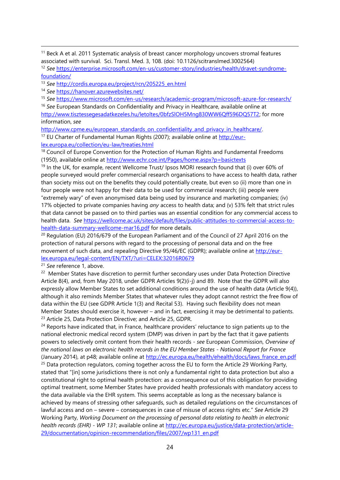<sup>13</sup> *See* [http://cordis.europa.eu/project/rcn/205225\\_en.html](http://cordis.europa.eu/project/rcn/205225_en.html)

<sup>14</sup> *See* <https://hanover.azurewebsites.net/>

 $\overline{a}$ 

<sup>15</sup> *See* <https://www.microsoft.com/en-us/research/academic-program/microsoft-azure-for-research/>

<sup>16</sup> *See* European Standards on Confidentiality and Privacy in Healthcare, available online at

[http://www.tisztessegesadatkezeles.hu/letoltes/0bfzSlOH5Mng830WW6Qff596DQ57T2;](http://www.tisztessegesadatkezeles.hu/letoltes/0bfzSlOH5Mng830WW6Qff596DQ57T2) for more information, *see*

[http://www.cpme.eu/european\\_standards\\_on\\_confidentiality\\_and\\_privacy\\_in\\_healthcare/.](http://www.cpme.eu/european_standards_on_confidentiality_and_privacy_in_healthcare/) <sup>17</sup> EU Charter of Fundamental Human Rights (2007); available online at [http://eur](http://eur-lex.europa.eu/collection/eu-law/treaties.html)[lex.europa.eu/collection/eu-law/treaties.html](http://eur-lex.europa.eu/collection/eu-law/treaties.html)

<sup>18</sup> Council of Europe Convention for the Protection of Human Rights and Fundamental Freedoms (1950), available online at<http://www.echr.coe.int/Pages/home.aspx?p=basictexts>

<sup>19</sup> In the UK, for example, recent Wellcome Trust/ Ipsos MORI research found that (i) over 60% of people surveyed would prefer commercial research organisations to have access to health data, rather than society miss out on the benefits they could potentially create, but even so (ii) more than one in four people were not happy for their data to be used for commercial research; (iii) people were "extremely wary" of even anonymised data being used by insurance and marketing companies; (iv) 17% objected to private companies having *any* access to health data; and (v) 53% felt that strict rules that data cannot be passed on to third parties was an essential condition for any commercial access to health data. *See* [https://wellcome.ac.uk/sites/default/files/public-attitudes-to-commercial-access-to](https://wellcome.ac.uk/sites/default/files/public-attitudes-to-commercial-access-to-health-data-summary-wellcome-mar16.pdf)[health-data-summary-wellcome-mar16.pdf](https://wellcome.ac.uk/sites/default/files/public-attitudes-to-commercial-access-to-health-data-summary-wellcome-mar16.pdf) for more details.

<sup>20</sup> Regulation (EU) 2016/679 of the European Parliament and of the Council of 27 April 2016 on the protection of natural persons with regard to the processing of personal data and on the free movement of such data, and repealing Directive 95/46/EC (GDPR); available online at [http://eur](http://eur-lex.europa.eu/legal-content/EN/TXT/?uri=CELEX:32016R0679)[lex.europa.eu/legal-content/EN/TXT/?uri=CELEX:32016R0679](http://eur-lex.europa.eu/legal-content/EN/TXT/?uri=CELEX:32016R0679)

<sup>21</sup> *See* reference 1, above.

<sup>22</sup> Member States have discretion to permit further secondary uses under Data Protection Directive Article 8(4), and, from May 2018, under GDPR Articles 9(2)(i-j) and 89. Note that the GDPR will also expressly allow Member States to set additional conditions around the use of health data (Article 9(4)), although it also reminds Member States that whatever rules they adopt cannot restrict the free flow of data within the EU (see GDPR Article 1(3) and Recital 53). Having such flexibility does not mean Member States should exercise it, however – and in fact, exercising it may be detrimental to patients. <sup>23</sup> Article 25, Data Protection Directive; and Article 25, GDPR.

<sup>24</sup> Reports have indicated that, in France, healthcare providers' reluctance to sign patients up to the national electronic medical record system (DMP) was driven in part by the fact that it gave patients powers to selectively omit content from their health records - *see* European Commission, *Overview of the national laws on electronic health records in the EU Member States - National Report for France* (January 2014), at p48; available online at [http://ec.europa.eu/health/ehealth/docs/laws\\_france\\_en.pdf](http://ec.europa.eu/health/ehealth/docs/laws_france_en.pdf)

 $25$  Data protection regulators, coming together across the EU to form the Article 29 Working Party, stated that "[in] some jurisdictions there is not only a fundamental right to data protection but also a constitutional right to optimal health protection: as a consequence out of this obligation for providing optimal treatment, some Member States have provided health professionals with mandatory access to the data available via the EHR system. This seems acceptable as long as the necessary balance is achieved by means of stressing other safeguards, such as detailed regulations on the circumstances of lawful access and on – severe – consequences in case of misuse of access rights etc." *See* Article 29 Working Party, *Working Document on the processing of personal data relating to health in electronic health records (EHR) - WP 131*; available online at [http://ec.europa.eu/justice/data-protection/article-](http://ec.europa.eu/justice/data-protection/article-29/documentation/opinion-recommendation/files/2007/wp131_en.pdf)[29/documentation/opinion-recommendation/files/2007/wp131\\_en.pdf](http://ec.europa.eu/justice/data-protection/article-29/documentation/opinion-recommendation/files/2007/wp131_en.pdf)

<sup>&</sup>lt;sup>11</sup> Beck A et al. 2011 Systematic analysis of breast cancer morphology uncovers stromal features associated with survival. Sci. Transl. Med. 3, 108. (doi: 10.1126/scitranslmed.3002564)

<sup>12</sup> *See* [https://enterprise.microsoft.com/en-us/customer-story/industries/health/dravet-syndrome](https://enterprise.microsoft.com/en-us/customer-story/industries/health/dravet-syndrome-foundation/)[foundation/](https://enterprise.microsoft.com/en-us/customer-story/industries/health/dravet-syndrome-foundation/)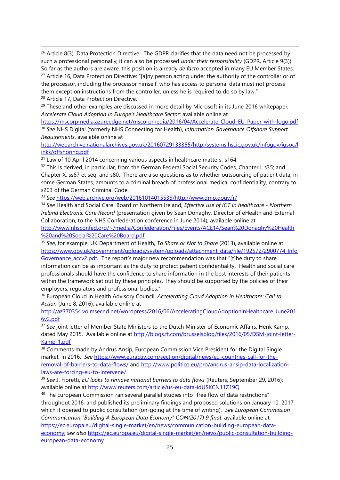$26$  Article 8(3), Data Protection Directive. The GDPR clarifies that the data need not be processed by such a professional personally; it can also be processed *under their responsibility* (GDPR, Article 9(3)). So far as the authors are aware, this position is already *de facto* accepted in many EU Member States. <sup>27</sup> Article 16, Data Protection Directive: "[a]ny person acting under the authority of the controller or of the processor, including the processor himself, who has access to personal data must not process them except on instructions from the controller, unless he is required to do so by law." <sup>28</sup> Article 17, Data Protection Directive.

<sup>29</sup> These and other examples are discussed in more detail by Microsoft in its June 2016 whitepaper, *Accelerate Cloud Adoption in Europe's Healthcare Sector*; available online at

[https://mscorpmedia.azureedge.net/mscorpmedia/2016/04/Accelerate\\_Cloud-EU\\_Paper\\_with-logo.pdf](https://mscorpmedia.azureedge.net/mscorpmedia/2016/04/Accelerate_Cloud-EU_Paper_with-logo.pdf) <sup>30</sup> *See* NHS Digital (formerly NHS Connecting for Health), *Information Governance Offshore Support Requirements*, available online at

[http://webarchive.nationalarchives.gov.uk/20160729133355/http:/systems.hscic.gov.uk/infogov/igsoc/l](http://webarchive.nationalarchives.gov.uk/20160729133355/http:/systems.hscic.gov.uk/infogov/igsoc/links/offshoring.pdf) [inks/offshoring.pdf](http://webarchive.nationalarchives.gov.uk/20160729133355/http:/systems.hscic.gov.uk/infogov/igsoc/links/offshoring.pdf)

<sup>31</sup> Law of 10 April 2014 concerning various aspects in healthcare matters, s164.

 $\overline{a}$ 

<sup>32</sup> This is derived, in particular, from the German Federal Social Security Codes, Chapter I, s35; and Chapter X, ss67 et seq. and s80. There are also questions as to whether outsourcing of patient data, in some German States, amounts to a criminal breach of professional medical confidentiality, contrary to s203 of the German Criminal Code.

<sup>33</sup> *See* [https://web.archive.org/web/20161014015535/http://www.dmp.gouv.fr/](https://web.archive.org/web/20161014015535/http:/www.dmp.gouv.fr/)

<sup>34</sup> *See* Health and Social Care Board of Northern Ireland, *Effective use of ICT in healthcare - Northern Ireland Electronic Care Record* (presentation given by Sean Donaghy, Director of eHealth and External Collaboration, to the NHS Confederation conference in June 2014); available online at

[http://www.nhsconfed.org/~/media/Confederation/Files/Events/ACE14/Sean%20Donaghy%20Health](http://www.nhsconfed.org/~/media/Confederation/Files/Events/ACE14/Sean%20Donaghy%20Health%20and%20Social%20Care%20Board.pdf) [%20and%20Social%20Care%20Board.pdf](http://www.nhsconfed.org/~/media/Confederation/Files/Events/ACE14/Sean%20Donaghy%20Health%20and%20Social%20Care%20Board.pdf)

<sup>35</sup> *See*, for example, UK Department of Health, *To Share or Not to Share* (2013), available online at [https://www.gov.uk/government/uploads/system/uploads/attachment\\_data/file/192572/2900774\\_Info](https://www.gov.uk/government/uploads/system/uploads/attachment_data/file/192572/2900774_InfoGovernance_accv2.pdf) Governance accv2.pdf. The report's major new recommendation was that "[t]he duty to share information can be as important as the duty to protect patient confidentiality. Health and social care professionals should have the confidence to share information in the best interests of their patients within the framework set out by these principles. They should be supported by the policies of their employers, regulators and professional bodies."

<sup>36</sup> European Cloud in Health Advisory Council, *Accelerating Cloud Adoption in Healthcare: Call to Action* (June 8, 2016); available online at

[http://az370354.vo.msecnd.net/wordpress/2016/06/AcceleratingCloudAdoptioninHealthcare\\_June201](http://az370354.vo.msecnd.net/wordpress/2016/06/AcceleratingCloudAdoptioninHealthcare_June2016v2.pdf) [6v2.pdf](http://az370354.vo.msecnd.net/wordpress/2016/06/AcceleratingCloudAdoptioninHealthcare_June2016v2.pdf)

<sup>37</sup> See joint letter of Member State Ministers to the Dutch Minister of Economic Affairs, Henk Kamp, dated May 2015. Available online at [http://blogs.ft.com/brusselsblog/files/2016/05/DSM-joint-letter-](http://blogs.ft.com/brusselsblog/files/2016/05/DSM-joint-letter-Kamp-1.pdf)[Kamp-1.pdf](http://blogs.ft.com/brusselsblog/files/2016/05/DSM-joint-letter-Kamp-1.pdf)

<sup>38</sup> Comments made by Andrus Ansip, European Commission Vice President for the Digital Single market, in 2016. *See* [https://www.euractiv.com/section/digital/news/eu-countries-call-for-the](https://www.euractiv.com/section/digital/news/eu-countries-call-for-the-removal-of-barriers-to-data-flows/)[removal-of-barriers-to-data-flows/](https://www.euractiv.com/section/digital/news/eu-countries-call-for-the-removal-of-barriers-to-data-flows/) and [http://www.politico.eu/pro/andrus-ansip-data-localization](http://www.politico.eu/pro/andrus-ansip-data-localization-laws-are-forcing-eu-to-intervene/)[laws-are-forcing-eu-to-intervene/](http://www.politico.eu/pro/andrus-ansip-data-localization-laws-are-forcing-eu-to-intervene/)

<sup>39</sup> *See* J. Fioretti, *EU looks to remove national barriers to data flows* (Reuters, September 29, 2016); available online at<http://www.reuters.com/article/us-eu-data-idUSKCN11Z19Q>

<sup>40</sup> The European Commission ran several parallel studies into "free flow of data restrictions" throughout 2016, and published its preliminary findings and proposed solutions on January 10, 2017, which it opened to public consultation (on-going at the time of writing). *See European Commission Communication "Building A European Data Economy" COM(2017) 9 final*, available online at [https://ec.europa.eu/digital-single-market/en/news/communication-building-european-data](https://ec.europa.eu/digital-single-market/en/news/communication-building-european-data-economy)[economy;](https://ec.europa.eu/digital-single-market/en/news/communication-building-european-data-economy) *see also* [https://ec.europa.eu/digital-single-market/en/news/public-consultation-building](https://ec.europa.eu/digital-single-market/en/news/public-consultation-building-european-data-economy)[european-data-economy](https://ec.europa.eu/digital-single-market/en/news/public-consultation-building-european-data-economy)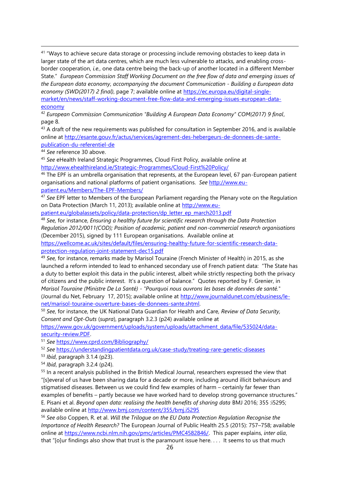<sup>41</sup> "Ways to achieve secure data storage or processing include removing obstacles to keep data in larger state of the art data centres, which are much less vulnerable to attacks, and enabling crossborder cooperation, *i.e.*, one data centre being the back-up of another located in a different Member State." *European Commission Staff Working Document on the free flow of data and emerging issues of the European data economy, accompanying the document Communication - Building a European data economy (SWD(2017) 2 final)*, page 7; available online at [https://ec.europa.eu/digital-single](https://ec.europa.eu/digital-single-market/en/news/staff-working-document-free-flow-data-and-emerging-issues-european-data-economy)[market/en/news/staff-working-document-free-flow-data-and-emerging-issues-european-data](https://ec.europa.eu/digital-single-market/en/news/staff-working-document-free-flow-data-and-emerging-issues-european-data-economy)[economy](https://ec.europa.eu/digital-single-market/en/news/staff-working-document-free-flow-data-and-emerging-issues-european-data-economy)

<sup>42</sup> *European Commission Communication "Building A European Data Economy" COM(2017) 9 final*, page 8.

<sup>43</sup> A draft of the new requirements was published for consultation in September 2016, and is available online at [http://esante.gouv.fr/actus/services/agrement-des-hebergeurs-de-donnees-de-sante](http://esante.gouv.fr/actus/services/agrement-des-hebergeurs-de-donnees-de-sante-publication-du-referentiel-de)[publication-du-referentiel-de](http://esante.gouv.fr/actus/services/agrement-des-hebergeurs-de-donnees-de-sante-publication-du-referentiel-de)

<sup>44</sup> *See* reference [30](#page-13-0) above.

 $\overline{a}$ 

<sup>45</sup> *See* eHealth Ireland Strategic Programmes, Cloud First Policy, available online at <http://www.ehealthireland.ie/Strategic-Programmes/Cloud-First%20Policy/>

<sup>46</sup> The EPF is an umbrella organisation that represents, at the European level, 67 pan-European patient organisations and national platforms of patient organisations. *See* [http://www.eu](http://www.eu-patient.eu/Members/The-EPF-Members/)[patient.eu/Members/The-EPF-Members/](http://www.eu-patient.eu/Members/The-EPF-Members/)

<sup>47</sup> *See* EPF letter to Members of the European Parliament regarding the Plenary vote on the Regulation on Data Protection (March 11, 2013); available online at [http://www.eu-](http://www.eu-patient.eu/globalassets/policy/data-protection/dp_letter_ep_march2013.pdf)

[patient.eu/globalassets/policy/data-protection/dp\\_letter\\_ep\\_march2013.pdf](http://www.eu-patient.eu/globalassets/policy/data-protection/dp_letter_ep_march2013.pdf)

<sup>48</sup> *See,* for instance, *Ensuring a healthy future for scientific research through the Data Protection Regulation 2012/0011(COD); Position of academic, patient and non-commercial research organisations* (December 2015), signed by 111 European organisations. Available online at

[https://wellcome.ac.uk/sites/default/files/ensuring-healthy-future-for-scientific-research-data](https://wellcome.ac.uk/sites/default/files/ensuring-healthy-future-for-scientific-research-data-protection-regulation-joint-statement-dec15.pdf)[protection-regulation-joint-statement-dec15.pdf](https://wellcome.ac.uk/sites/default/files/ensuring-healthy-future-for-scientific-research-data-protection-regulation-joint-statement-dec15.pdf)

<sup>49</sup> *See,* for instance, remarks made by Marisol Touraine (French Minister of Health) in 2015, as she launched a reform intended to lead to enhanced secondary use of French patient data: "The State has a duty to better exploit this data in the public interest, albeit while strictly respecting both the privacy of citizens and the public interest. It's a question of balance." Quotes reported by F. Grenier, in *Marisol Touraine (Ministre De La Santé) - "Pourquoi nous ouvrons les bases de données de santé."* (Journal du Net, February 17, 2015); available online at [http://www.journaldunet.com/ebusiness/le](http://www.journaldunet.com/ebusiness/le-net/marisol-touraine-ouverture-bases-de-donnees-sante.shtml)[net/marisol-touraine-ouverture-bases-de-donnees-sante.shtml.](http://www.journaldunet.com/ebusiness/le-net/marisol-touraine-ouverture-bases-de-donnees-sante.shtml)

<sup>50</sup> *See*, for instance, the UK National Data Guardian for Health and Care, *Review of Data Security, Consent and Opt-Outs* (*supra*), paragraph 3.2.3 (p24) available online at

[https://www.gov.uk/government/uploads/system/uploads/attachment\\_data/file/535024/data](https://www.gov.uk/government/uploads/system/uploads/attachment_data/file/535024/data-security-review.PDF)[security-review.PDF.](https://www.gov.uk/government/uploads/system/uploads/attachment_data/file/535024/data-security-review.PDF)

<sup>51</sup> *See* <https://www.cprd.com/Bibliography/>

<sup>52</sup> *See* <https://understandingpatientdata.org.uk/case-study/treating-rare-genetic-diseases>

<sup>53</sup> *Ibid*, paragraph 3.1.4 (p23).

<sup>54</sup> *Ibid*, paragraph 3.2.4 (p24).

<sup>55</sup> In a recent analysis published in the British Medical Journal, researchers expressed the view that "[s]everal of us have been sharing data for a decade or more, including around illicit behaviours and stigmatised diseases. Between us we could find few examples of harm – certainly far fewer than examples of benefits – partly because we have worked hard to develop strong governance structures." E. Pisani et al. *Beyond open data: realising the health benefits of sharing data* BMJ 2016; 355 :i5295; available online at<http://www.bmj.com/content/355/bmj.i5295>

<sup>56</sup> *See also* Coppen, R. et al. *Will the Trilogue on the EU Data Protection Regulation Recognise the Importance of Health Research?* The European Journal of Public Health 25.5 (2015): 757–758; available online at [https://www.ncbi.nlm.nih.gov/pmc/articles/PMC4582846/.](https://www.ncbi.nlm.nih.gov/pmc/articles/PMC4582846/) This paper explains, *inter alia*, that "[o]ur findings also show that trust is the paramount issue here. . . . It seems to us that much